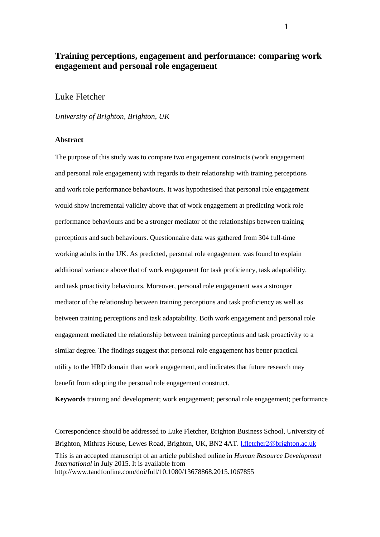# **Training perceptions, engagement and performance: comparing work engagement and personal role engagement**

# Luke Fletcher

*University of Brighton, Brighton, UK*

## **Abstract**

The purpose of this study was to compare two engagement constructs (work engagement and personal role engagement) with regards to their relationship with training perceptions and work role performance behaviours. It was hypothesised that personal role engagement would show incremental validity above that of work engagement at predicting work role performance behaviours and be a stronger mediator of the relationships between training perceptions and such behaviours. Questionnaire data was gathered from 304 full-time working adults in the UK. As predicted, personal role engagement was found to explain additional variance above that of work engagement for task proficiency, task adaptability, and task proactivity behaviours. Moreover, personal role engagement was a stronger mediator of the relationship between training perceptions and task proficiency as well as between training perceptions and task adaptability. Both work engagement and personal role engagement mediated the relationship between training perceptions and task proactivity to a similar degree. The findings suggest that personal role engagement has better practical utility to the HRD domain than work engagement, and indicates that future research may benefit from adopting the personal role engagement construct.

**Keywords** training and development; work engagement; personal role engagement; performance

Correspondence should be addressed to Luke Fletcher, Brighton Business School, University of Brighton, Mithras House, Lewes Road, Brighton, UK, BN2 4AT. [l.fletcher2@brighton.ac.uk](mailto:l.fletcher2@brighton.ac.uk) This is an accepted manuscript of an article published online in *Human Resource Development International* in July 2015. It is available from http://www.tandfonline.com/doi/full/10.1080/13678868.2015.1067855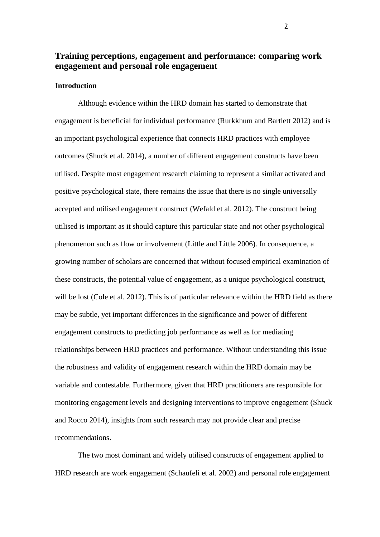# **Training perceptions, engagement and performance: comparing work engagement and personal role engagement**

# **Introduction**

Although evidence within the HRD domain has started to demonstrate that engagement is beneficial for individual performance (Rurkkhum and Bartlett 2012) and is an important psychological experience that connects HRD practices with employee outcomes (Shuck et al. 2014), a number of different engagement constructs have been utilised. Despite most engagement research claiming to represent a similar activated and positive psychological state, there remains the issue that there is no single universally accepted and utilised engagement construct (Wefald et al. 2012). The construct being utilised is important as it should capture this particular state and not other psychological phenomenon such as flow or involvement (Little and Little 2006). In consequence, a growing number of scholars are concerned that without focused empirical examination of these constructs, the potential value of engagement, as a unique psychological construct, will be lost (Cole et al. 2012). This is of particular relevance within the HRD field as there may be subtle, yet important differences in the significance and power of different engagement constructs to predicting job performance as well as for mediating relationships between HRD practices and performance. Without understanding this issue the robustness and validity of engagement research within the HRD domain may be variable and contestable. Furthermore, given that HRD practitioners are responsible for monitoring engagement levels and designing interventions to improve engagement (Shuck and Rocco 2014), insights from such research may not provide clear and precise recommendations.

The two most dominant and widely utilised constructs of engagement applied to HRD research are work engagement (Schaufeli et al. 2002) and personal role engagement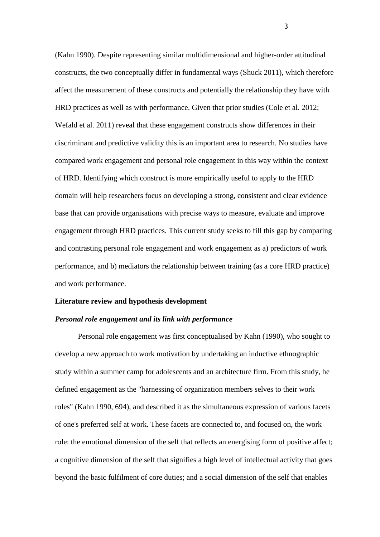(Kahn 1990). Despite representing similar multidimensional and higher-order attitudinal constructs, the two conceptually differ in fundamental ways (Shuck 2011), which therefore affect the measurement of these constructs and potentially the relationship they have with HRD practices as well as with performance. Given that prior studies (Cole et al. 2012; Wefald et al. 2011) reveal that these engagement constructs show differences in their discriminant and predictive validity this is an important area to research. No studies have compared work engagement and personal role engagement in this way within the context of HRD. Identifying which construct is more empirically useful to apply to the HRD domain will help researchers focus on developing a strong, consistent and clear evidence base that can provide organisations with precise ways to measure, evaluate and improve engagement through HRD practices. This current study seeks to fill this gap by comparing and contrasting personal role engagement and work engagement as a) predictors of work performance, and b) mediators the relationship between training (as a core HRD practice) and work performance.

#### **Literature review and hypothesis development**

## *Personal role engagement and its link with performance*

Personal role engagement was first conceptualised by Kahn (1990), who sought to develop a new approach to work motivation by undertaking an inductive ethnographic study within a summer camp for adolescents and an architecture firm. From this study, he defined engagement as the "harnessing of organization members selves to their work roles" (Kahn 1990, 694), and described it as the simultaneous expression of various facets of one's preferred self at work. These facets are connected to, and focused on, the work role: the emotional dimension of the self that reflects an energising form of positive affect; a cognitive dimension of the self that signifies a high level of intellectual activity that goes beyond the basic fulfilment of core duties; and a social dimension of the self that enables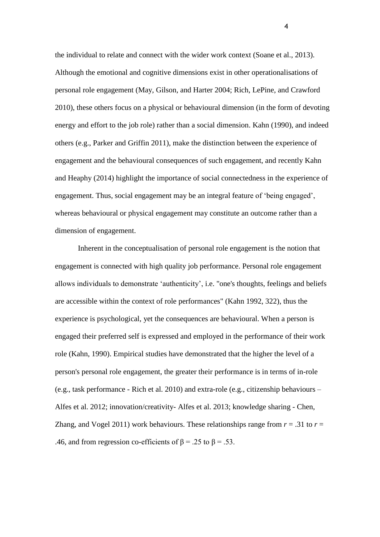the individual to relate and connect with the wider work context (Soane et al., 2013). Although the emotional and cognitive dimensions exist in other operationalisations of personal role engagement (May, Gilson, and Harter 2004; Rich, LePine, and Crawford 2010), these others focus on a physical or behavioural dimension (in the form of devoting energy and effort to the job role) rather than a social dimension. Kahn (1990), and indeed others (e.g., Parker and Griffin 2011), make the distinction between the experience of engagement and the behavioural consequences of such engagement, and recently Kahn and Heaphy (2014) highlight the importance of social connectedness in the experience of engagement. Thus, social engagement may be an integral feature of 'being engaged', whereas behavioural or physical engagement may constitute an outcome rather than a dimension of engagement.

Inherent in the conceptualisation of personal role engagement is the notion that engagement is connected with high quality job performance. Personal role engagement allows individuals to demonstrate 'authenticity', i.e. "one's thoughts, feelings and beliefs are accessible within the context of role performances" (Kahn 1992, 322), thus the experience is psychological, yet the consequences are behavioural. When a person is engaged their preferred self is expressed and employed in the performance of their work role (Kahn, 1990). Empirical studies have demonstrated that the higher the level of a person's personal role engagement, the greater their performance is in terms of in-role (e.g., task performance - Rich et al. 2010) and extra-role (e.g., citizenship behaviours – Alfes et al. 2012; innovation/creativity- Alfes et al. 2013; knowledge sharing - Chen, Zhang, and Vogel 2011) work behaviours. These relationships range from  $r = .31$  to  $r =$ .46, and from regression co-efficients of  $\beta$  = .25 to  $\beta$  = .53.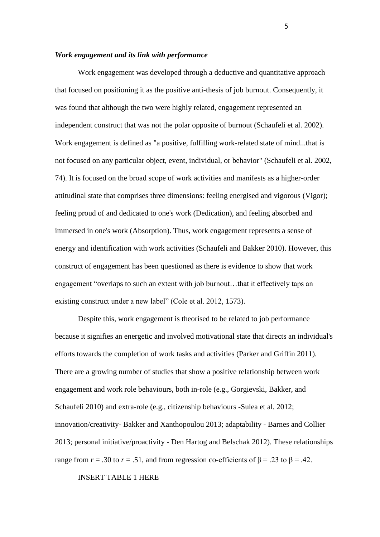## *Work engagement and its link with performance*

Work engagement was developed through a deductive and quantitative approach that focused on positioning it as the positive anti-thesis of job burnout. Consequently, it was found that although the two were highly related, engagement represented an independent construct that was not the polar opposite of burnout (Schaufeli et al. 2002). Work engagement is defined as "a positive, fulfilling work-related state of mind...that is not focused on any particular object, event, individual, or behavior" (Schaufeli et al. 2002, 74). It is focused on the broad scope of work activities and manifests as a higher-order attitudinal state that comprises three dimensions: feeling energised and vigorous (Vigor); feeling proud of and dedicated to one's work (Dedication), and feeling absorbed and immersed in one's work (Absorption). Thus, work engagement represents a sense of energy and identification with work activities (Schaufeli and Bakker 2010). However, this construct of engagement has been questioned as there is evidence to show that work engagement "overlaps to such an extent with job burnout…that it effectively taps an existing construct under a new label" (Cole et al. 2012, 1573).

Despite this, work engagement is theorised to be related to job performance because it signifies an energetic and involved motivational state that directs an individual's efforts towards the completion of work tasks and activities (Parker and Griffin 2011). There are a growing number of studies that show a positive relationship between work engagement and work role behaviours, both in-role (e.g., Gorgievski, Bakker, and Schaufeli 2010) and extra-role (e.g., citizenship behaviours -Sulea et al. 2012; innovation/creativity- Bakker and Xanthopoulou 2013; adaptability - Barnes and Collier 2013; personal initiative/proactivity - Den Hartog and Belschak 2012). These relationships range from  $r = .30$  to  $r = .51$ , and from regression co-efficients of  $\beta = .23$  to  $\beta = .42$ .

INSERT TABLE 1 HERE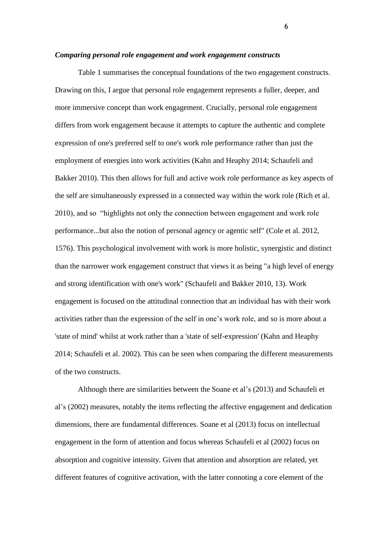#### *Comparing personal role engagement and work engagement constructs*

Table 1 summarises the conceptual foundations of the two engagement constructs. Drawing on this, I argue that personal role engagement represents a fuller, deeper, and more immersive concept than work engagement. Crucially, personal role engagement differs from work engagement because it attempts to capture the authentic and complete expression of one's preferred self to one's work role performance rather than just the employment of energies into work activities (Kahn and Heaphy 2014; Schaufeli and Bakker 2010). This then allows for full and active work role performance as key aspects of the self are simultaneously expressed in a connected way within the work role (Rich et al. 2010), and so "highlights not only the connection between engagement and work role performance...but also the notion of personal agency or agentic self" (Cole et al. 2012, 1576). This psychological involvement with work is more holistic, synergistic and distinct than the narrower work engagement construct that views it as being "a high level of energy and strong identification with one's work" (Schaufeli and Bakker 2010, 13). Work engagement is focused on the attitudinal connection that an individual has with their work activities rather than the expression of the self in one's work role, and so is more about a 'state of mind' whilst at work rather than a 'state of self-expression' (Kahn and Heaphy 2014; Schaufeli et al. 2002). This can be seen when comparing the different measurements of the two constructs.

Although there are similarities between the Soane et al's (2013) and Schaufeli et al's (2002) measures, notably the items reflecting the affective engagement and dedication dimensions, there are fundamental differences. Soane et al (2013) focus on intellectual engagement in the form of attention and focus whereas Schaufeli et al (2002) focus on absorption and cognitive intensity. Given that attention and absorption are related, yet different features of cognitive activation, with the latter connoting a core element of the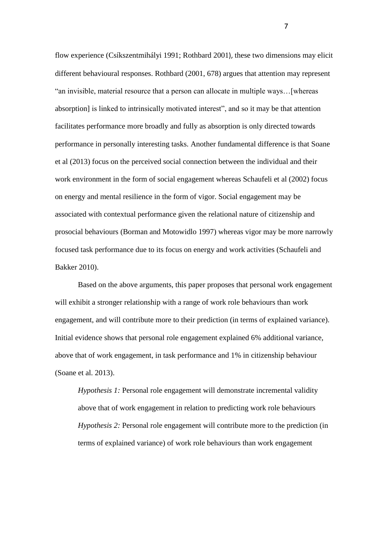flow experience (Csíkszentmihályi 1991; Rothbard 2001), these two dimensions may elicit different behavioural responses. Rothbard (2001, 678) argues that attention may represent "an invisible, material resource that a person can allocate in multiple ways…[whereas absorption] is linked to intrinsically motivated interest", and so it may be that attention facilitates performance more broadly and fully as absorption is only directed towards performance in personally interesting tasks. Another fundamental difference is that Soane et al (2013) focus on the perceived social connection between the individual and their work environment in the form of social engagement whereas Schaufeli et al (2002) focus on energy and mental resilience in the form of vigor. Social engagement may be associated with contextual performance given the relational nature of citizenship and prosocial behaviours (Borman and Motowidlo 1997) whereas vigor may be more narrowly focused task performance due to its focus on energy and work activities (Schaufeli and Bakker 2010).

Based on the above arguments, this paper proposes that personal work engagement will exhibit a stronger relationship with a range of work role behaviours than work engagement, and will contribute more to their prediction (in terms of explained variance). Initial evidence shows that personal role engagement explained 6% additional variance, above that of work engagement, in task performance and 1% in citizenship behaviour (Soane et al. 2013).

*Hypothesis 1:* Personal role engagement will demonstrate incremental validity above that of work engagement in relation to predicting work role behaviours *Hypothesis 2:* Personal role engagement will contribute more to the prediction (in terms of explained variance) of work role behaviours than work engagement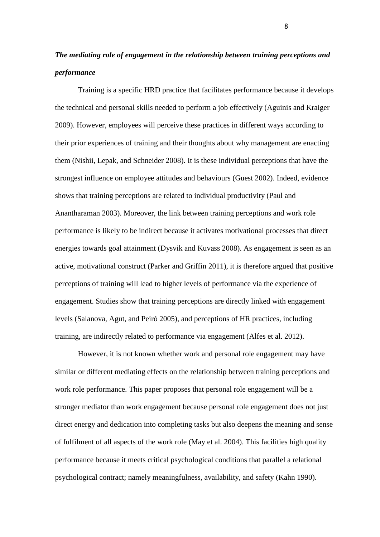# *The mediating role of engagement in the relationship between training perceptions and performance*

Training is a specific HRD practice that facilitates performance because it develops the technical and personal skills needed to perform a job effectively (Aguinis and Kraiger 2009). However, employees will perceive these practices in different ways according to their prior experiences of training and their thoughts about why management are enacting them (Nishii, Lepak, and Schneider 2008). It is these individual perceptions that have the strongest influence on employee attitudes and behaviours (Guest 2002). Indeed, evidence shows that training perceptions are related to individual productivity (Paul and Anantharaman 2003). Moreover, the link between training perceptions and work role performance is likely to be indirect because it activates motivational processes that direct energies towards goal attainment (Dysvik and Kuvass 2008). As engagement is seen as an active, motivational construct (Parker and Griffin 2011), it is therefore argued that positive perceptions of training will lead to higher levels of performance via the experience of engagement. Studies show that training perceptions are directly linked with engagement levels (Salanova, Agut, and Peiró 2005), and perceptions of HR practices, including training, are indirectly related to performance via engagement (Alfes et al. 2012).

However, it is not known whether work and personal role engagement may have similar or different mediating effects on the relationship between training perceptions and work role performance. This paper proposes that personal role engagement will be a stronger mediator than work engagement because personal role engagement does not just direct energy and dedication into completing tasks but also deepens the meaning and sense of fulfilment of all aspects of the work role (May et al. 2004). This facilities high quality performance because it meets critical psychological conditions that parallel a relational psychological contract; namely meaningfulness, availability, and safety (Kahn 1990).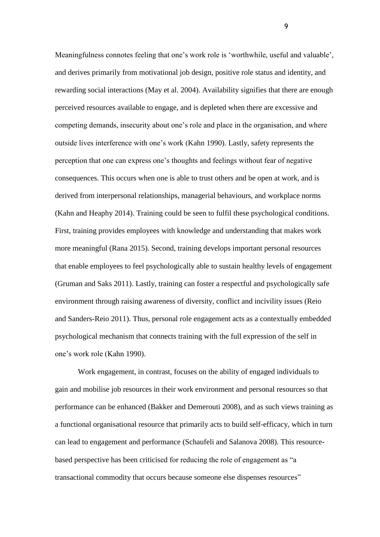Meaningfulness connotes feeling that one's work role is 'worthwhile, useful and valuable', and derives primarily from motivational job design, positive role status and identity, and rewarding social interactions (May et al. 2004). Availability signifies that there are enough perceived resources available to engage, and is depleted when there are excessive and competing demands, insecurity about one's role and place in the organisation, and where outside lives interference with one's work (Kahn 1990). Lastly, safety represents the perception that one can express one's thoughts and feelings without fear of negative consequences. This occurs when one is able to trust others and be open at work, and is derived from interpersonal relationships, managerial behaviours, and workplace norms (Kahn and Heaphy 2014). Training could be seen to fulfil these psychological conditions. First, training provides employees with knowledge and understanding that makes work more meaningful (Rana 2015). Second, training develops important personal resources that enable employees to feel psychologically able to sustain healthy levels of engagement (Gruman and Saks 2011). Lastly, training can foster a respectful and psychologically safe environment through raising awareness of diversity, conflict and incivility issues (Reio and Sanders-Reio 2011). Thus, personal role engagement acts as a contextually embedded psychological mechanism that connects training with the full expression of the self in one's work role (Kahn 1990).

Work engagement, in contrast, focuses on the ability of engaged individuals to gain and mobilise job resources in their work environment and personal resources so that performance can be enhanced (Bakker and Demerouti 2008), and as such views training as a functional organisational resource that primarily acts to build self-efficacy, which in turn can lead to engagement and performance (Schaufeli and Salanova 2008). This resourcebased perspective has been criticised for reducing the role of engagement as "a transactional commodity that occurs because someone else dispenses resources"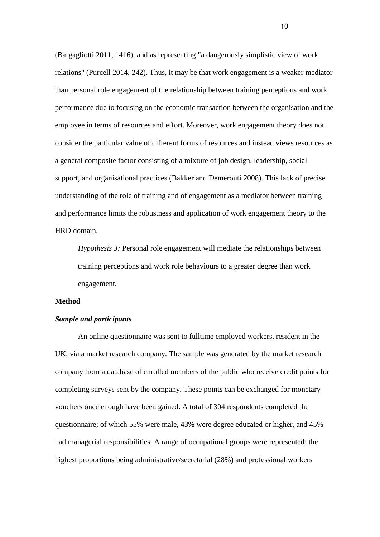(Bargagliotti 2011, 1416), and as representing "a dangerously simplistic view of work relations" (Purcell 2014, 242). Thus, it may be that work engagement is a weaker mediator than personal role engagement of the relationship between training perceptions and work performance due to focusing on the economic transaction between the organisation and the employee in terms of resources and effort. Moreover, work engagement theory does not consider the particular value of different forms of resources and instead views resources as a general composite factor consisting of a mixture of job design, leadership, social support, and organisational practices (Bakker and Demerouti 2008). This lack of precise understanding of the role of training and of engagement as a mediator between training and performance limits the robustness and application of work engagement theory to the HRD domain.

*Hypothesis 3:* Personal role engagement will mediate the relationships between training perceptions and work role behaviours to a greater degree than work engagement.

# **Method**

## *Sample and participants*

An online questionnaire was sent to fulltime employed workers, resident in the UK, via a market research company. The sample was generated by the market research company from a database of enrolled members of the public who receive credit points for completing surveys sent by the company. These points can be exchanged for monetary vouchers once enough have been gained. A total of 304 respondents completed the questionnaire; of which 55% were male, 43% were degree educated or higher, and 45% had managerial responsibilities. A range of occupational groups were represented; the highest proportions being administrative/secretarial (28%) and professional workers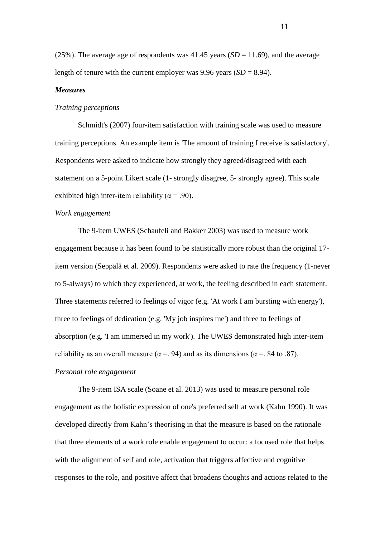(25%). The average age of respondents was  $41.45$  years (*SD* = 11.69), and the average length of tenure with the current employer was 9.96 years  $(SD = 8.94)$ .

# *Measures*

### *Training perceptions*

Schmidt's (2007) four-item satisfaction with training scale was used to measure training perceptions. An example item is 'The amount of training I receive is satisfactory'. Respondents were asked to indicate how strongly they agreed/disagreed with each statement on a 5-point Likert scale (1- strongly disagree, 5- strongly agree). This scale exhibited high inter-item reliability ( $\alpha$  = .90).

# *Work engagement*

The 9-item UWES (Schaufeli and Bakker 2003) was used to measure work engagement because it has been found to be statistically more robust than the original 17 item version (Seppälä et al. 2009). Respondents were asked to rate the frequency (1-never to 5-always) to which they experienced, at work, the feeling described in each statement. Three statements referred to feelings of vigor (e.g. 'At work I am bursting with energy'), three to feelings of dedication (e.g. 'My job inspires me') and three to feelings of absorption (e.g. 'I am immersed in my work'). The UWES demonstrated high inter-item reliability as an overall measure ( $\alpha$  = . 94) and as its dimensions ( $\alpha$  = . 84 to .87). *Personal role engagement*

The 9-item ISA scale (Soane et al. 2013) was used to measure personal role engagement as the holistic expression of one's preferred self at work (Kahn 1990). It was developed directly from Kahn's theorising in that the measure is based on the rationale that three elements of a work role enable engagement to occur: a focused role that helps with the alignment of self and role, activation that triggers affective and cognitive responses to the role, and positive affect that broadens thoughts and actions related to the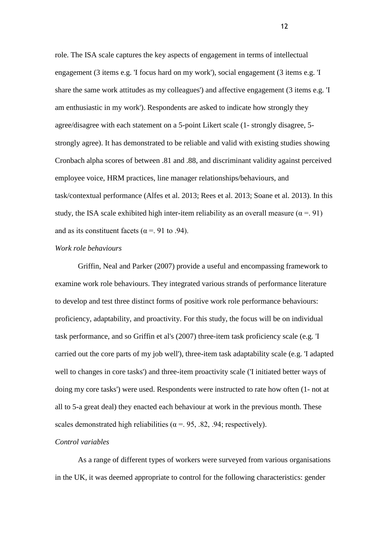role. The ISA scale captures the key aspects of engagement in terms of intellectual engagement (3 items e.g. 'I focus hard on my work'), social engagement (3 items e.g. 'I share the same work attitudes as my colleagues') and affective engagement (3 items e.g. 'I am enthusiastic in my work'). Respondents are asked to indicate how strongly they agree/disagree with each statement on a 5-point Likert scale (1- strongly disagree, 5 strongly agree). It has demonstrated to be reliable and valid with existing studies showing Cronbach alpha scores of between .81 and .88, and discriminant validity against perceived employee voice, HRM practices, line manager relationships/behaviours, and task/contextual performance (Alfes et al. 2013; Rees et al. 2013; Soane et al. 2013). In this study, the ISA scale exhibited high inter-item reliability as an overall measure ( $\alpha$  = 91) and as its constituent facets ( $\alpha$  = 0.94).

# *Work role behaviours*

Griffin, Neal and Parker (2007) provide a useful and encompassing framework to examine work role behaviours. They integrated various strands of performance literature to develop and test three distinct forms of positive work role performance behaviours: proficiency, adaptability, and proactivity. For this study, the focus will be on individual task performance, and so Griffin et al's (2007) three-item task proficiency scale (e.g. 'I carried out the core parts of my job well'), three-item task adaptability scale (e.g. 'I adapted well to changes in core tasks') and three-item proactivity scale ('I initiated better ways of doing my core tasks') were used. Respondents were instructed to rate how often (1- not at all to 5-a great deal) they enacted each behaviour at work in the previous month. These scales demonstrated high reliabilities ( $\alpha$  = 0.95, 0.82, 0.94; respectively).

# *Control variables*

As a range of different types of workers were surveyed from various organisations in the UK, it was deemed appropriate to control for the following characteristics: gender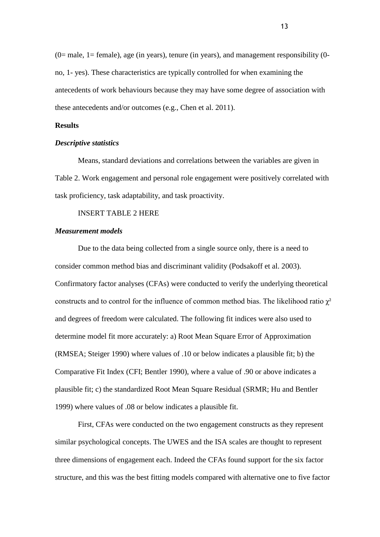$(0=$  male, 1 = female), age (in years), tenure (in years), and management responsibility  $(0$ no, 1- yes). These characteristics are typically controlled for when examining the antecedents of work behaviours because they may have some degree of association with these antecedents and/or outcomes (e.g., Chen et al. 2011).

# **Results**

# *Descriptive statistics*

Means, standard deviations and correlations between the variables are given in Table 2. Work engagement and personal role engagement were positively correlated with task proficiency, task adaptability, and task proactivity.

# INSERT TABLE 2 HERE

# *Measurement models*

Due to the data being collected from a single source only, there is a need to consider common method bias and discriminant validity (Podsakoff et al. 2003). Confirmatory factor analyses (CFAs) were conducted to verify the underlying theoretical constructs and to control for the influence of common method bias. The likelihood ratio  $\chi^2$ and degrees of freedom were calculated. The following fit indices were also used to determine model fit more accurately: a) Root Mean Square Error of Approximation (RMSEA; Steiger 1990) where values of .10 or below indicates a plausible fit; b) the Comparative Fit Index (CFI; Bentler 1990), where a value of .90 or above indicates a plausible fit; c) the standardized Root Mean Square Residual (SRMR; Hu and Bentler 1999) where values of .08 or below indicates a plausible fit.

First, CFAs were conducted on the two engagement constructs as they represent similar psychological concepts. The UWES and the ISA scales are thought to represent three dimensions of engagement each. Indeed the CFAs found support for the six factor structure, and this was the best fitting models compared with alternative one to five factor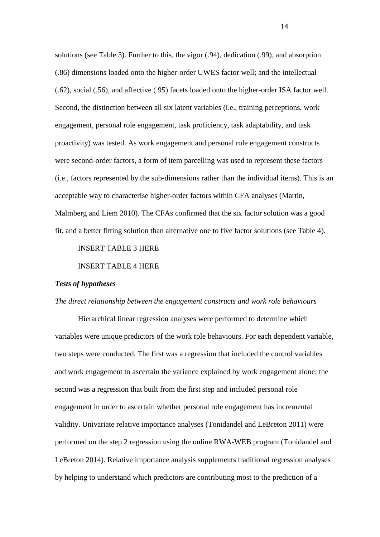solutions (see Table 3). Further to this, the vigor (.94), dedication (.99), and absorption (.86) dimensions loaded onto the higher-order UWES factor well; and the intellectual (.62), social (.56), and affective (.95) facets loaded onto the higher-order ISA factor well. Second, the distinction between all six latent variables (i.e., training perceptions, work engagement, personal role engagement, task proficiency, task adaptability, and task proactivity) was tested. As work engagement and personal role engagement constructs were second-order factors, a form of item parcelling was used to represent these factors (i.e., factors represented by the sub-dimensions rather than the individual items). This is an acceptable way to characterise higher-order factors within CFA analyses (Martin, Malmberg and Liem 2010). The CFAs confirmed that the six factor solution was a good fit, and a better fitting solution than alternative one to five factor solutions (see Table 4).

# INSERT TABLE 3 HERE

INSERT TABLE 4 HERE

# *Tests of hypotheses*

# *The direct relationship between the engagement constructs and work role behaviours*

Hierarchical linear regression analyses were performed to determine which variables were unique predictors of the work role behaviours. For each dependent variable, two steps were conducted. The first was a regression that included the control variables and work engagement to ascertain the variance explained by work engagement alone; the second was a regression that built from the first step and included personal role engagement in order to ascertain whether personal role engagement has incremental validity. Univariate relative importance analyses (Tonidandel and LeBreton 2011) were performed on the step 2 regression using the online RWA-WEB program (Tonidandel and LeBreton 2014). Relative importance analysis supplements traditional regression analyses by helping to understand which predictors are contributing most to the prediction of a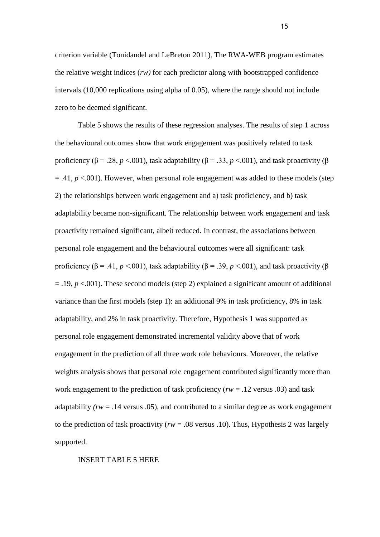criterion variable (Tonidandel and LeBreton 2011). The RWA-WEB program estimates the relative weight indices (*rw)* for each predictor along with bootstrapped confidence intervals (10,000 replications using alpha of 0.05), where the range should not include zero to be deemed significant.

Table 5 shows the results of these regression analyses. The results of step 1 across the behavioural outcomes show that work engagement was positively related to task proficiency ( $\beta$  = .28, *p* <.001), task adaptability ( $\beta$  = .33, *p* <.001), and task proactivity ( $\beta$  $= .41, p < .001$ ). However, when personal role engagement was added to these models (step 2) the relationships between work engagement and a) task proficiency, and b) task adaptability became non-significant. The relationship between work engagement and task proactivity remained significant, albeit reduced. In contrast, the associations between personal role engagement and the behavioural outcomes were all significant: task proficiency ( $\beta$  = .41, *p* <.001), task adaptability ( $\beta$  = .39, *p* <.001), and task proactivity ( $\beta$  $=$  .19,  $p \lt 0.001$ ). These second models (step 2) explained a significant amount of additional variance than the first models (step 1): an additional 9% in task proficiency, 8% in task adaptability, and 2% in task proactivity. Therefore, Hypothesis 1 was supported as personal role engagement demonstrated incremental validity above that of work engagement in the prediction of all three work role behaviours. Moreover, the relative weights analysis shows that personal role engagement contributed significantly more than work engagement to the prediction of task proficiency (*rw* = .12 versus .03) and task adaptability *(rw* = .14 versus .05), and contributed to a similar degree as work engagement to the prediction of task proactivity ( $rw = .08$  versus .10). Thus, Hypothesis 2 was largely supported.

INSERT TABLE 5 HERE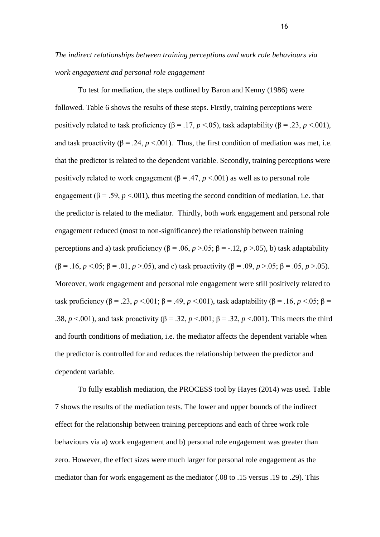# *The indirect relationships between training perceptions and work role behaviours via work engagement and personal role engagement*

To test for mediation, the steps outlined by Baron and Kenny (1986) were followed. Table 6 shows the results of these steps. Firstly, training perceptions were positively related to task proficiency ( $β = .17, p < .05$ ), task adaptability ( $β = .23, p < .001$ ), and task proactivity ( $\beta$  = .24, *p* <.001). Thus, the first condition of mediation was met, i.e. that the predictor is related to the dependent variable. Secondly, training perceptions were positively related to work engagement ( $\beta$  = .47, *p* <.001) as well as to personal role engagement ( $\beta$  = .59, *p* <.001), thus meeting the second condition of mediation, i.e. that the predictor is related to the mediator. Thirdly, both work engagement and personal role engagement reduced (most to non-significance) the relationship between training perceptions and a) task proficiency ( $\beta$  = .06, *p* > .05;  $\beta$  = -.12, *p* > .05), b) task adaptability ( $\beta = .16$ ,  $p < .05$ ;  $\beta = .01$ ,  $p > .05$ ), and c) task proactivity ( $\beta = .09$ ,  $p > .05$ ;  $\beta = .05$ ,  $p > .05$ ). Moreover, work engagement and personal role engagement were still positively related to task proficiency (β = .23, *p* <.001; β = .49, *p* <.001), task adaptability (β = .16, *p* <.05; β = .38,  $p \le 0.001$ ), and task proactivity ( $\beta = 0.32$ ,  $p \le 0.01$ ;  $\beta = 0.32$ ,  $p \le 0.001$ ). This meets the third and fourth conditions of mediation, i.e. the mediator affects the dependent variable when the predictor is controlled for and reduces the relationship between the predictor and dependent variable.

To fully establish mediation, the PROCESS tool by Hayes (2014) was used. Table 7 shows the results of the mediation tests. The lower and upper bounds of the indirect effect for the relationship between training perceptions and each of three work role behaviours via a) work engagement and b) personal role engagement was greater than zero. However, the effect sizes were much larger for personal role engagement as the mediator than for work engagement as the mediator (.08 to .15 versus .19 to .29). This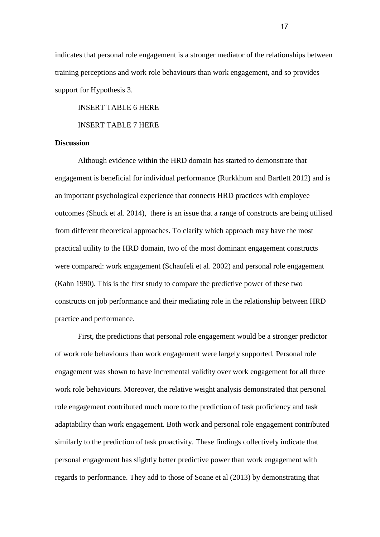indicates that personal role engagement is a stronger mediator of the relationships between training perceptions and work role behaviours than work engagement, and so provides support for Hypothesis 3.

INSERT TABLE 6 HERE

INSERT TABLE 7 HERE

# **Discussion**

Although evidence within the HRD domain has started to demonstrate that engagement is beneficial for individual performance (Rurkkhum and Bartlett 2012) and is an important psychological experience that connects HRD practices with employee outcomes (Shuck et al. 2014), there is an issue that a range of constructs are being utilised from different theoretical approaches. To clarify which approach may have the most practical utility to the HRD domain, two of the most dominant engagement constructs were compared: work engagement (Schaufeli et al. 2002) and personal role engagement (Kahn 1990). This is the first study to compare the predictive power of these two constructs on job performance and their mediating role in the relationship between HRD practice and performance.

First, the predictions that personal role engagement would be a stronger predictor of work role behaviours than work engagement were largely supported. Personal role engagement was shown to have incremental validity over work engagement for all three work role behaviours. Moreover, the relative weight analysis demonstrated that personal role engagement contributed much more to the prediction of task proficiency and task adaptability than work engagement. Both work and personal role engagement contributed similarly to the prediction of task proactivity. These findings collectively indicate that personal engagement has slightly better predictive power than work engagement with regards to performance. They add to those of Soane et al (2013) by demonstrating that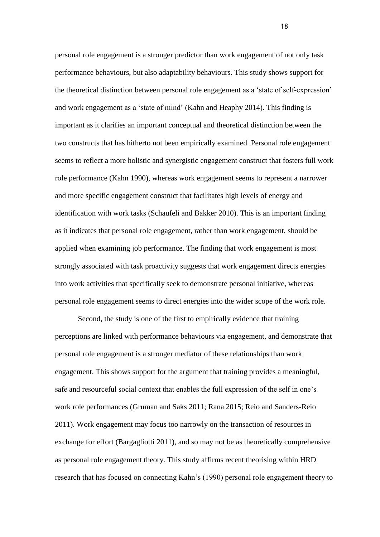personal role engagement is a stronger predictor than work engagement of not only task performance behaviours, but also adaptability behaviours. This study shows support for the theoretical distinction between personal role engagement as a 'state of self-expression' and work engagement as a 'state of mind' (Kahn and Heaphy 2014). This finding is important as it clarifies an important conceptual and theoretical distinction between the two constructs that has hitherto not been empirically examined. Personal role engagement seems to reflect a more holistic and synergistic engagement construct that fosters full work role performance (Kahn 1990), whereas work engagement seems to represent a narrower and more specific engagement construct that facilitates high levels of energy and identification with work tasks (Schaufeli and Bakker 2010). This is an important finding as it indicates that personal role engagement, rather than work engagement, should be applied when examining job performance. The finding that work engagement is most strongly associated with task proactivity suggests that work engagement directs energies into work activities that specifically seek to demonstrate personal initiative, whereas personal role engagement seems to direct energies into the wider scope of the work role.

Second, the study is one of the first to empirically evidence that training perceptions are linked with performance behaviours via engagement, and demonstrate that personal role engagement is a stronger mediator of these relationships than work engagement. This shows support for the argument that training provides a meaningful, safe and resourceful social context that enables the full expression of the self in one's work role performances (Gruman and Saks 2011; Rana 2015; Reio and Sanders-Reio 2011). Work engagement may focus too narrowly on the transaction of resources in exchange for effort (Bargagliotti 2011), and so may not be as theoretically comprehensive as personal role engagement theory. This study affirms recent theorising within HRD research that has focused on connecting Kahn's (1990) personal role engagement theory to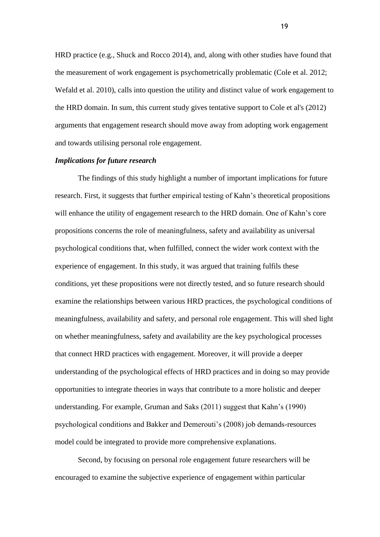HRD practice (e.g., Shuck and Rocco 2014), and, along with other studies have found that the measurement of work engagement is psychometrically problematic (Cole et al. 2012; Wefald et al. 2010), calls into question the utility and distinct value of work engagement to the HRD domain. In sum, this current study gives tentative support to Cole et al's (2012) arguments that engagement research should move away from adopting work engagement and towards utilising personal role engagement.

## *Implications for future research*

The findings of this study highlight a number of important implications for future research. First, it suggests that further empirical testing of Kahn's theoretical propositions will enhance the utility of engagement research to the HRD domain. One of Kahn's core propositions concerns the role of meaningfulness, safety and availability as universal psychological conditions that, when fulfilled, connect the wider work context with the experience of engagement. In this study, it was argued that training fulfils these conditions, yet these propositions were not directly tested, and so future research should examine the relationships between various HRD practices, the psychological conditions of meaningfulness, availability and safety, and personal role engagement. This will shed light on whether meaningfulness, safety and availability are the key psychological processes that connect HRD practices with engagement. Moreover, it will provide a deeper understanding of the psychological effects of HRD practices and in doing so may provide opportunities to integrate theories in ways that contribute to a more holistic and deeper understanding. For example, Gruman and Saks (2011) suggest that Kahn's (1990) psychological conditions and Bakker and Demerouti's (2008) job demands-resources model could be integrated to provide more comprehensive explanations.

Second, by focusing on personal role engagement future researchers will be encouraged to examine the subjective experience of engagement within particular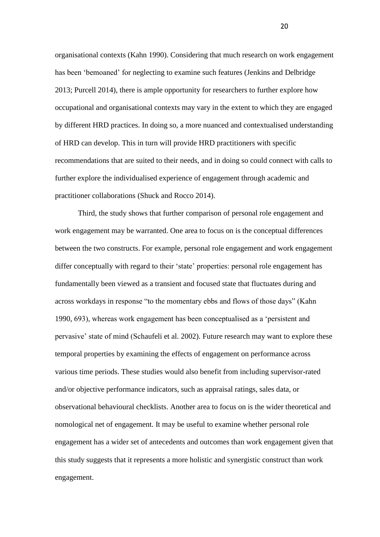organisational contexts (Kahn 1990). Considering that much research on work engagement has been 'bemoaned' for neglecting to examine such features (Jenkins and Delbridge 2013; Purcell 2014), there is ample opportunity for researchers to further explore how occupational and organisational contexts may vary in the extent to which they are engaged by different HRD practices. In doing so, a more nuanced and contextualised understanding of HRD can develop. This in turn will provide HRD practitioners with specific recommendations that are suited to their needs, and in doing so could connect with calls to further explore the individualised experience of engagement through academic and practitioner collaborations (Shuck and Rocco 2014).

Third, the study shows that further comparison of personal role engagement and work engagement may be warranted. One area to focus on is the conceptual differences between the two constructs. For example, personal role engagement and work engagement differ conceptually with regard to their 'state' properties: personal role engagement has fundamentally been viewed as a transient and focused state that fluctuates during and across workdays in response "to the momentary ebbs and flows of those days" (Kahn 1990, 693), whereas work engagement has been conceptualised as a 'persistent and pervasive' state of mind (Schaufeli et al. 2002). Future research may want to explore these temporal properties by examining the effects of engagement on performance across various time periods. These studies would also benefit from including supervisor-rated and/or objective performance indicators, such as appraisal ratings, sales data, or observational behavioural checklists. Another area to focus on is the wider theoretical and nomological net of engagement. It may be useful to examine whether personal role engagement has a wider set of antecedents and outcomes than work engagement given that this study suggests that it represents a more holistic and synergistic construct than work engagement.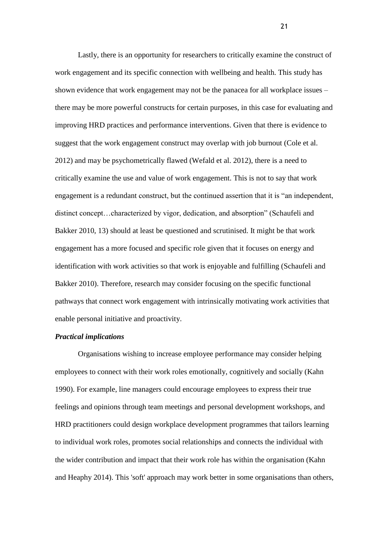Lastly, there is an opportunity for researchers to critically examine the construct of work engagement and its specific connection with wellbeing and health. This study has shown evidence that work engagement may not be the panacea for all workplace issues – there may be more powerful constructs for certain purposes, in this case for evaluating and improving HRD practices and performance interventions. Given that there is evidence to suggest that the work engagement construct may overlap with job burnout (Cole et al. 2012) and may be psychometrically flawed (Wefald et al. 2012), there is a need to critically examine the use and value of work engagement. This is not to say that work engagement is a redundant construct, but the continued assertion that it is "an independent, distinct concept…characterized by vigor, dedication, and absorption" (Schaufeli and Bakker 2010, 13) should at least be questioned and scrutinised. It might be that work engagement has a more focused and specific role given that it focuses on energy and identification with work activities so that work is enjoyable and fulfilling (Schaufeli and Bakker 2010). Therefore, research may consider focusing on the specific functional pathways that connect work engagement with intrinsically motivating work activities that enable personal initiative and proactivity.

# *Practical implications*

Organisations wishing to increase employee performance may consider helping employees to connect with their work roles emotionally, cognitively and socially (Kahn 1990). For example, line managers could encourage employees to express their true feelings and opinions through team meetings and personal development workshops, and HRD practitioners could design workplace development programmes that tailors learning to individual work roles, promotes social relationships and connects the individual with the wider contribution and impact that their work role has within the organisation (Kahn and Heaphy 2014). This 'soft' approach may work better in some organisations than others,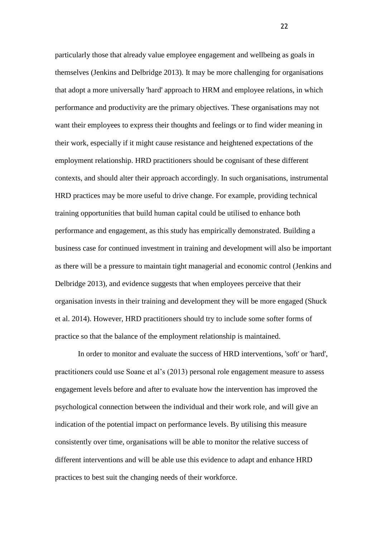particularly those that already value employee engagement and wellbeing as goals in themselves (Jenkins and Delbridge 2013). It may be more challenging for organisations that adopt a more universally 'hard' approach to HRM and employee relations, in which performance and productivity are the primary objectives. These organisations may not want their employees to express their thoughts and feelings or to find wider meaning in their work, especially if it might cause resistance and heightened expectations of the employment relationship. HRD practitioners should be cognisant of these different contexts, and should alter their approach accordingly. In such organisations, instrumental HRD practices may be more useful to drive change. For example, providing technical training opportunities that build human capital could be utilised to enhance both performance and engagement, as this study has empirically demonstrated. Building a business case for continued investment in training and development will also be important as there will be a pressure to maintain tight managerial and economic control (Jenkins and Delbridge 2013), and evidence suggests that when employees perceive that their organisation invests in their training and development they will be more engaged (Shuck et al. 2014). However, HRD practitioners should try to include some softer forms of practice so that the balance of the employment relationship is maintained.

In order to monitor and evaluate the success of HRD interventions, 'soft' or 'hard', practitioners could use Soane et al's (2013) personal role engagement measure to assess engagement levels before and after to evaluate how the intervention has improved the psychological connection between the individual and their work role, and will give an indication of the potential impact on performance levels. By utilising this measure consistently over time, organisations will be able to monitor the relative success of different interventions and will be able use this evidence to adapt and enhance HRD practices to best suit the changing needs of their workforce.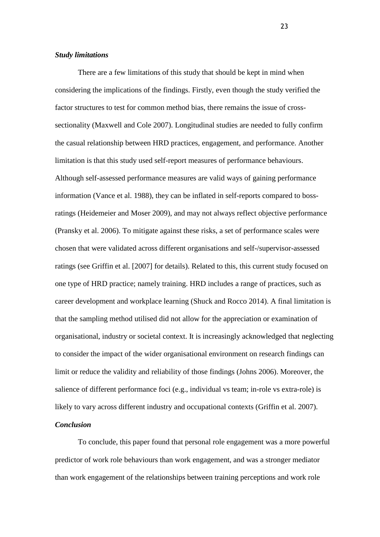# *Study limitations*

There are a few limitations of this study that should be kept in mind when considering the implications of the findings. Firstly, even though the study verified the factor structures to test for common method bias, there remains the issue of crosssectionality (Maxwell and Cole 2007). Longitudinal studies are needed to fully confirm the casual relationship between HRD practices, engagement, and performance. Another limitation is that this study used self-report measures of performance behaviours. Although self-assessed performance measures are valid ways of gaining performance information (Vance et al. 1988), they can be inflated in self-reports compared to bossratings (Heidemeier and Moser 2009), and may not always reflect objective performance (Pransky et al. 2006). To mitigate against these risks, a set of performance scales were chosen that were validated across different organisations and self-/supervisor-assessed ratings (see Griffin et al. [2007] for details). Related to this, this current study focused on one type of HRD practice; namely training. HRD includes a range of practices, such as career development and workplace learning (Shuck and Rocco 2014). A final limitation is that the sampling method utilised did not allow for the appreciation or examination of organisational, industry or societal context. It is increasingly acknowledged that neglecting to consider the impact of the wider organisational environment on research findings can limit or reduce the validity and reliability of those findings (Johns 2006). Moreover, the salience of different performance foci (e.g., individual vs team; in-role vs extra-role) is likely to vary across different industry and occupational contexts (Griffin et al. 2007).

# *Conclusion*

To conclude, this paper found that personal role engagement was a more powerful predictor of work role behaviours than work engagement, and was a stronger mediator than work engagement of the relationships between training perceptions and work role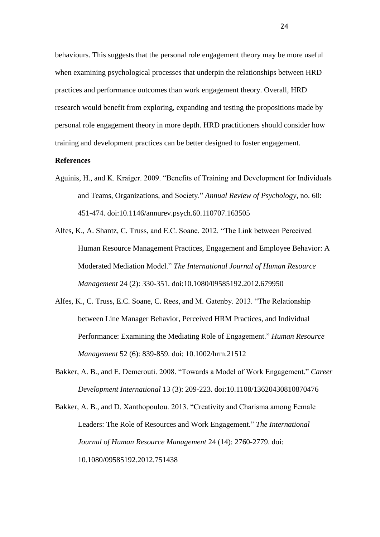behaviours. This suggests that the personal role engagement theory may be more useful when examining psychological processes that underpin the relationships between HRD practices and performance outcomes than work engagement theory. Overall, HRD research would benefit from exploring, expanding and testing the propositions made by personal role engagement theory in more depth. HRD practitioners should consider how training and development practices can be better designed to foster engagement.

# **References**

- Aguinis, H., and K. Kraiger. 2009. "Benefits of Training and Development for Individuals and Teams, Organizations, and Society." *Annual Review of Psychology,* no. 60: 451-474. doi:10.1146/annurev.psych.60.110707.163505
- Alfes, K., A. Shantz, C. Truss, and E.C. Soane. 2012. "The Link between Perceived Human Resource Management Practices, Engagement and Employee Behavior: A Moderated Mediation Model." *The International Journal of Human Resource Management* 24 (2): 330-351. doi:10.1080/09585192.2012.679950
- Alfes, K., C. Truss, E.C. Soane, C. Rees, and M. Gatenby. 2013. "The Relationship between Line Manager Behavior, Perceived HRM Practices, and Individual Performance: Examining the Mediating Role of Engagement." *Human Resource Management* 52 (6): 839-859. doi: 10.1002/hrm.21512
- Bakker, A. B., and E. Demerouti. 2008. "Towards a Model of Work Engagement." *Career Development International* 13 (3): 209-223. doi:10.1108/13620430810870476
- Bakker, A. B., and D. Xanthopoulou. 2013. "Creativity and Charisma among Female Leaders: The Role of Resources and Work Engagement." *The International Journal of Human Resource Management* 24 (14): 2760-2779. doi: 10.1080/09585192.2012.751438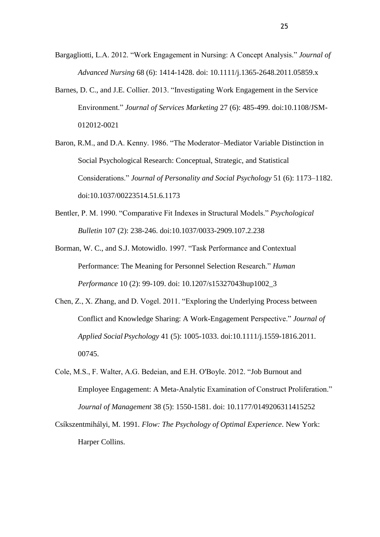- Bargagliotti, L.A. 2012. "Work Engagement in Nursing: A Concept Analysis." *Journal of Advanced Nursing* 68 (6): 1414-1428. doi: 10.1111/j.1365-2648.2011.05859.x
- Barnes, D. C., and J.E. Collier. 2013. "Investigating Work Engagement in the Service Environment." *Journal of Services Marketing* 27 (6): 485-499. doi:10.1108/JSM-012012-0021
- Baron, R.M., and D.A. Kenny. 1986. "The Moderator–Mediator Variable Distinction in Social Psychological Research: Conceptual, Strategic, and Statistical Considerations." *Journal of Personality and Social Psychology* 51 (6): 1173–1182. doi:10.1037/00223514.51.6.1173
- Bentler, P. M. 1990. "Comparative Fit Indexes in Structural Models." *Psychological Bulletin* 107 (2): 238-246. doi:10.1037/0033-2909.107.2.238
- Borman, W. C., and S.J. Motowidlo. 1997. "Task Performance and Contextual Performance: The Meaning for Personnel Selection Research." *Human Performance* 10 (2): 99-109. doi: 10.1207/s15327043hup1002\_3
- Chen, Z., X. Zhang, and D. Vogel. 2011. "Exploring the Underlying Process between Conflict and Knowledge Sharing: A Work-Engagement Perspective." *Journal of Applied SocialPsychology* 41 (5): 1005-1033. doi:10.1111/j.1559-1816.2011. 00745.
- Cole, M.S., F. Walter, A.G. Bedeian, and E.H. O'Boyle. 2012. "Job Burnout and Employee Engagement: A Meta-Analytic Examination of Construct Proliferation." *Journal of Management* 38 (5): 1550-1581. doi: 10.1177/0149206311415252
- Csíkszentmihályi, M. 1991. *Flow: The Psychology of Optimal Experience*. New York: Harper Collins.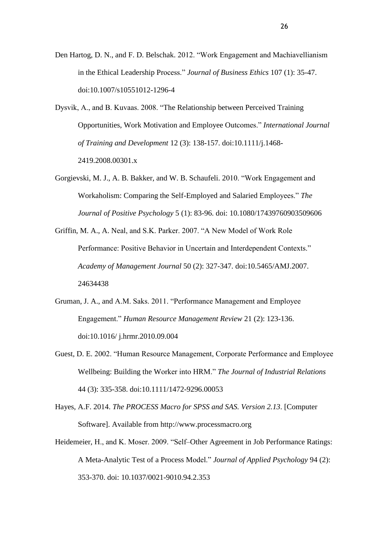- Den Hartog, D. N., and F. D. Belschak. 2012. "Work Engagement and Machiavellianism in the Ethical Leadership Process." *Journal of Business Ethics* 107 (1): 35-47. doi:10.1007/s10551012-1296-4
- Dysvik, A., and B. Kuvaas. 2008. "The Relationship between Perceived Training Opportunities, Work Motivation and Employee Outcomes." *International Journal of Training and Development* 12 (3): 138-157. doi:10.1111/j.1468- 2419.2008.00301.x
- Gorgievski, M. J., A. B. Bakker, and W. B. Schaufeli. 2010. "Work Engagement and Workaholism: Comparing the Self-Employed and Salaried Employees." *The Journal of Positive Psychology* 5 (1): 83-96. doi: 10.1080/17439760903509606
- Griffin, M. A., A. Neal, and S.K. Parker. 2007. "A New Model of Work Role Performance: Positive Behavior in Uncertain and Interdependent Contexts." *Academy of Management Journal* 50 (2): 327-347. doi:10.5465/AMJ.2007. 24634438
- Gruman, J. A., and A.M. Saks. 2011. "Performance Management and Employee Engagement." *Human Resource Management Review* 21 (2): 123-136. doi:10.1016/ j.hrmr.2010.09.004
- Guest, D. E. 2002. "Human Resource Management, Corporate Performance and Employee Wellbeing: Building the Worker into HRM." *The Journal of Industrial Relations* 44 (3): 335-358. doi:10.1111/1472-9296.00053
- Hayes, A.F. 2014. *The PROCESS Macro for SPSS and SAS. Version 2.13*. [Computer Software]. Available from http://www.processmacro.org
- Heidemeier, H., and K. Moser. 2009. "Self–Other Agreement in Job Performance Ratings: A Meta-Analytic Test of a Process Model." *Journal of Applied Psychology* 94 (2): 353-370. doi: 10.1037/0021-9010.94.2.353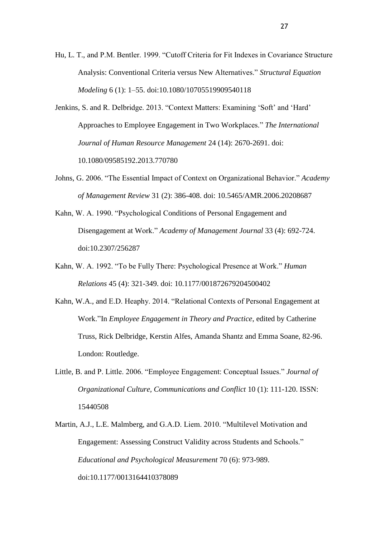- Hu, L. T., and P.M. Bentler. 1999. "Cutoff Criteria for Fit Indexes in Covariance Structure Analysis: Conventional Criteria versus New Alternatives." *Structural Equation Modeling* 6 (1): 1–55. doi:10.1080/10705519909540118
- Jenkins, S. and R. Delbridge. 2013. "Context Matters: Examining 'Soft' and 'Hard' Approaches to Employee Engagement in Two Workplaces." *The International Journal of Human Resource Management* 24 (14): 2670-2691. doi: 10.1080/09585192.2013.770780
- Johns, G. 2006. "The Essential Impact of Context on Organizational Behavior." *Academy of Management Review* 31 (2): 386-408. doi: 10.5465/AMR.2006.20208687
- Kahn, W. A. 1990. "Psychological Conditions of Personal Engagement and Disengagement at Work." *Academy of Management Journal* 33 (4): 692-724. doi:10.2307/256287
- Kahn, W. A. 1992. "To be Fully There: Psychological Presence at Work." *Human Relations* 45 (4): 321-349. doi: 10.1177/001872679204500402
- Kahn, W.A., and E.D. Heaphy. 2014. "Relational Contexts of Personal Engagement at Work."In *Employee Engagement in Theory and Practice*, edited by Catherine Truss, Rick Delbridge, Kerstin Alfes, Amanda Shantz and Emma Soane, 82-96. London: Routledge.
- Little, B. and P. Little. 2006. "Employee Engagement: Conceptual Issues." *Journal of Organizational Culture, Communications and Conflict* 10 (1): 111-120. ISSN: 15440508
- Martin, A.J., L.E. Malmberg, and G.A.D. Liem. 2010. "Multilevel Motivation and Engagement: Assessing Construct Validity across Students and Schools." *Educational and Psychological Measurement* 70 (6): 973-989. doi:10.1177/0013164410378089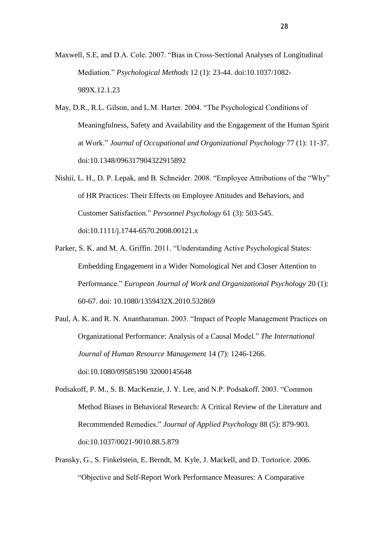- Maxwell, S.E, and D.A. Cole. 2007. "Bias in Cross-Sectional Analyses of Longitudinal Mediation." *Psychological Methods* 12 (1): 23-44. doi:10.1037/1082- 989X.12.1.23
- May, D.R., R.L. Gilson, and L.M. Harter. 2004. "The Psychological Conditions of Meaningfulness, Safety and Availability and the Engagement of the Human Spirit at Work." *Journal of Occupational and Organizational Psychology* 77 (1): 11-37. doi:10.1348/096317904322915892
- Nishii, L. H., D. P. Lepak, and B. Schneider. 2008. "Employee Attributions of the "Why" of HR Practices: Their Effects on Employee Attitudes and Behaviors, and Customer Satisfaction." *Personnel Psychology* 61 (3): 503-545. doi:10.1111/j.1744-6570.2008.00121.x
- Parker, S. K. and M. A. Griffin. 2011. "Understanding Active Psychological States: Embedding Engagement in a Wider Nomological Net and Closer Attention to Performance." *European Journal of Work and Organizational Psychology* 20 (1): 60-67. doi: 10.1080/1359432X.2010.532869
- Paul, A. K. and R. N. Anantharaman. 2003. "Impact of People Management Practices on Organizational Performance: Analysis of a Causal Model." *The International Journal of Human Resource Management* 14 (7): 1246-1266. doi:10.1080/09585190 32000145648
- Podsakoff, P. M., S. B. MacKenzie, J. Y. Lee, and N.P. Podsakoff. 2003. "Common Method Biases in Behavioral Research: A Critical Review of the Literature and Recommended Remedies." *Journal of Applied Psychology* 88 (5): 879-903. doi:10.1037/0021-9010.88.5.879
- Pransky, G., S. Finkelstein, E. Berndt, M. Kyle, J. Mackell, and D. Tortorice. 2006. "Objective and Self-Report Work Performance Measures: A Comparative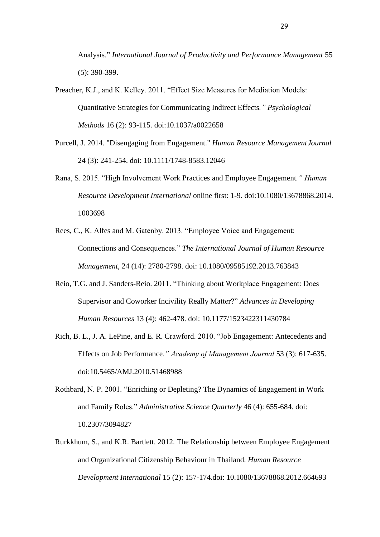Analysis." *International Journal of Productivity and Performance Management* 55 (5): 390-399.

- Preacher, K.J., and K. Kelley. 2011. "Effect Size Measures for Mediation Models: Quantitative Strategies for Communicating Indirect Effects*." Psychological Methods* 16 (2): 93-115. doi:10.1037/a0022658
- Purcell, J. 2014. "Disengaging from Engagement." *Human Resource ManagementJournal* 24 (3): 241-254. doi: 10.1111/1748-8583.12046
- Rana, S. 2015. "High Involvement Work Practices and Employee Engagement*." Human Resource Development International* online first: 1-9. doi:10.1080/13678868.2014. 1003698
- Rees, C., K. Alfes and M. Gatenby. 2013. "Employee Voice and Engagement: Connections and Consequences." *The International Journal of Human Resource Management*, 24 (14): 2780-2798. doi: 10.1080/09585192.2013.763843
- Reio, T.G. and J. Sanders-Reio. 2011. "Thinking about Workplace Engagement: Does Supervisor and Coworker Incivility Really Matter?" *Advances in Developing Human Resources* 13 (4): 462-478. doi: 10.1177/1523422311430784
- Rich, B. L., J. A. LePine, and E. R. Crawford. 2010. "Job Engagement: Antecedents and Effects on Job Performance*." Academy of Management Journal* 53 (3): 617-635. doi:10.5465/AMJ.2010.51468988
- Rothbard, N. P. 2001. "Enriching or Depleting? The Dynamics of Engagement in Work and Family Roles." *Administrative Science Quarterly* 46 (4): 655-684. doi: 10.2307/3094827
- Rurkkhum, S., and K.R. Bartlett. 2012. The Relationship between Employee Engagement and Organizational Citizenship Behaviour in Thailand. *Human Resource Development International* 15 (2): 157-174.doi: 10.1080/13678868.2012.664693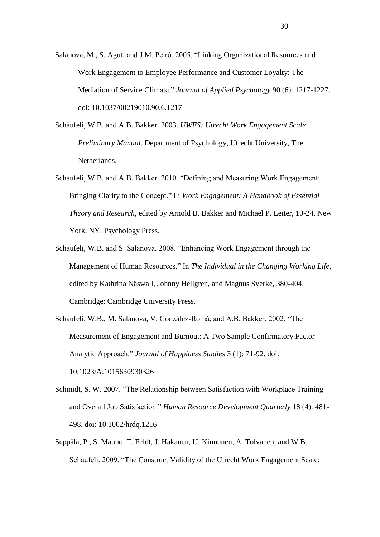- Salanova, M., S. Agut, and J.M. Peiró. 2005. "Linking Organizational Resources and Work Engagement to Employee Performance and Customer Loyalty: The Mediation of Service Climate." *Journal of Applied Psychology* 90 (6): 1217-1227. doi: 10.1037/00219010.90.6.1217
- Schaufeli, W.B. and A.B. Bakker. 2003. *UWES: Utrecht Work Engagement Scale Preliminary Manual*. Department of Psychology, Utrecht University, The Netherlands.
- Schaufeli, W.B. and A.B. Bakker. 2010. "Defining and Measuring Work Engagement: Bringing Clarity to the Concept." In *Work Engagement: A Handbook of Essential Theory and Research*, edited by Arnold B. Bakker and Michael P. Leiter, 10-24. New York, NY: Psychology Press.
- Schaufeli, W.B. and S. Salanova. 2008. "Enhancing Work Engagement through the Management of Human Resources." In *The Individual in the Changing Working Life*, edited by Kathrina Näswall, Johnny Hellgren, and Magnus Sverke, 380-404. Cambridge: Cambridge University Press.
- Schaufeli, W.B., M. Salanova, V. González-Romá, and A.B. Bakker. 2002. "The Measurement of Engagement and Burnout: A Two Sample Confirmatory Factor Analytic Approach." *Journal of Happiness Studies* 3 (1): 71-92. doi: 10.1023/A:1015630930326
- Schmidt, S. W. 2007. "The Relationship between Satisfaction with Workplace Training and Overall Job Satisfaction." *Human Resource Development Quarterly* 18 (4): 481- 498. doi: 10.1002/hrdq.1216
- Seppälä, P., S. Mauno, T. Feldt, J. Hakanen, U. Kinnunen, A. Tolvanen, and W.B. Schaufeli. 2009. "The Construct Validity of the Utrecht Work Engagement Scale: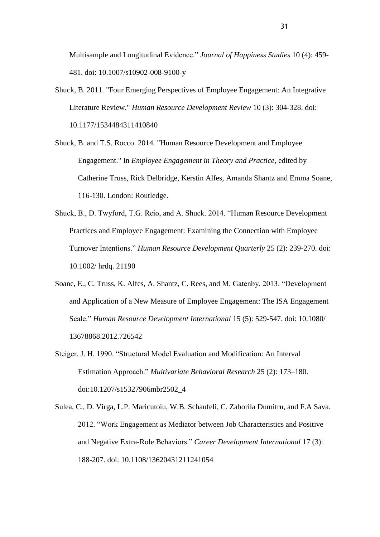Multisample and Longitudinal Evidence." *Journal of Happiness Studies* 10 (4): 459- 481. doi: 10.1007/s10902-008-9100-y

- Shuck, B. 2011. "Four Emerging Perspectives of Employee Engagement: An Integrative Literature Review." *Human Resource Development Review* 10 (3): 304-328. doi: 10.1177/1534484311410840
- Shuck, B. and T.S. Rocco. 2014. "Human Resource Development and Employee Engagement." In *Employee Engagement in Theory and Practice*, edited by Catherine Truss, Rick Delbridge, Kerstin Alfes, Amanda Shantz and Emma Soane, 116-130. London: Routledge.
- Shuck, B., D. Twyford, T.G. Reio, and A. Shuck. 2014. "Human Resource Development Practices and Employee Engagement: Examining the Connection with Employee Turnover Intentions." *Human Resource Development Quarterly* 25 (2): 239-270. doi: 10.1002/ hrdq. 21190
- Soane, E., C. Truss, K. Alfes, A. Shantz, C. Rees, and M. Gatenby. 2013. "Development and Application of a New Measure of Employee Engagement: The ISA Engagement Scale." *Human Resource Development International* 15 (5): 529-547. doi: 10.1080/ 13678868.2012.726542
- Steiger, J. H. 1990. "Structural Model Evaluation and Modification: An Interval Estimation Approach." *Multivariate Behavioral Research* 25 (2): 173–180. doi:10.1207/s15327906mbr2502\_4
- Sulea, C., D. Virga, L.P. Maricutoiu, W.B. Schaufeli, C. Zaborila Dumitru, and F.A Sava. 2012. "Work Engagement as Mediator between Job Characteristics and Positive and Negative Extra-Role Behaviors." *Career Development International* 17 (3): 188-207. doi: 10.1108/13620431211241054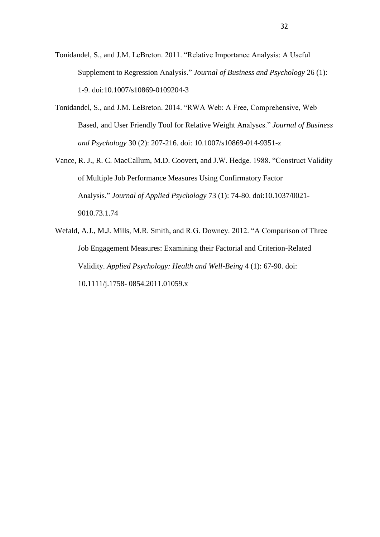- Tonidandel, S., and J.M. LeBreton. 2011. "Relative Importance Analysis: A Useful Supplement to Regression Analysis." *Journal of Business and Psychology* 26 (1): 1-9. doi:10.1007/s10869-0109204-3
- Tonidandel, S., and J.M. LeBreton. 2014. "RWA Web: A Free, Comprehensive, Web Based, and User Friendly Tool for Relative Weight Analyses." *Journal of Business and Psychology* 30 (2): 207-216. doi: 10.1007/s10869-014-9351-z
- Vance, R. J., R. C. MacCallum, M.D. Coovert, and J.W. Hedge. 1988. "Construct Validity of Multiple Job Performance Measures Using Confirmatory Factor Analysis." *Journal of Applied Psychology* 73 (1): 74-80. doi:10.1037/0021- 9010.73.1.74
- Wefald, A.J., M.J. Mills, M.R. Smith, and R.G. Downey. 2012. "A Comparison of Three Job Engagement Measures: Examining their Factorial and Criterion-Related Validity. *Applied Psychology: Health and Well-Being* 4 (1): 67-90. doi: 10.1111/j.1758- 0854.2011.01059.x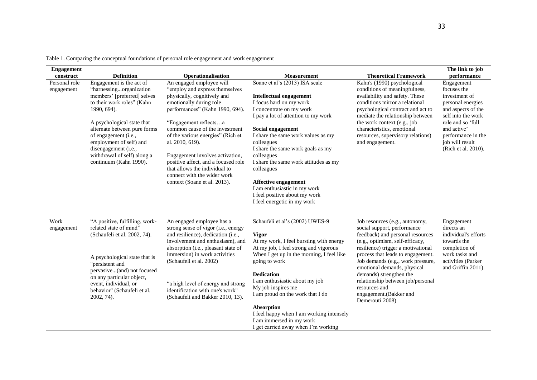| <b>Engagement</b>           |                                                                                                                                                                                                                                                                                                                                   |                                                                                                                                                                                                                                                                                                                                                                                                                                                      |                                                                                                                                                                                                                                                                                                                                                                                                                                                                           |                                                                                                                                                                                                                                                                                                                                                                                                                   | The link to job                                                                                                                                                                                                 |
|-----------------------------|-----------------------------------------------------------------------------------------------------------------------------------------------------------------------------------------------------------------------------------------------------------------------------------------------------------------------------------|------------------------------------------------------------------------------------------------------------------------------------------------------------------------------------------------------------------------------------------------------------------------------------------------------------------------------------------------------------------------------------------------------------------------------------------------------|---------------------------------------------------------------------------------------------------------------------------------------------------------------------------------------------------------------------------------------------------------------------------------------------------------------------------------------------------------------------------------------------------------------------------------------------------------------------------|-------------------------------------------------------------------------------------------------------------------------------------------------------------------------------------------------------------------------------------------------------------------------------------------------------------------------------------------------------------------------------------------------------------------|-----------------------------------------------------------------------------------------------------------------------------------------------------------------------------------------------------------------|
| construct                   | <b>Definition</b>                                                                                                                                                                                                                                                                                                                 | Operationalisation                                                                                                                                                                                                                                                                                                                                                                                                                                   | <b>Measurement</b>                                                                                                                                                                                                                                                                                                                                                                                                                                                        | <b>Theoretical Framework</b>                                                                                                                                                                                                                                                                                                                                                                                      | performance                                                                                                                                                                                                     |
| Personal role<br>engagement | Engagement is the act of<br>"harnessingorganization<br>members' [preferred] selves<br>to their work roles" (Kahn<br>1990, 694).<br>A psychological state that<br>alternate between pure forms<br>of engagement (i.e.,<br>employment of self) and<br>disengagement (i.e.,<br>withdrawal of self) along a<br>continuum (Kahn 1990). | An engaged employee will<br>"employ and express themselves<br>physically, cognitively and<br>emotionally during role<br>performances" (Kahn 1990, 694).<br>"Engagement reflectsa<br>common cause of the investment<br>of the various energies" (Rich et<br>al. 2010, 619).<br>Engagement involves activation,<br>positive affect, and a focused role<br>that allows the individual to<br>connect with the wider work<br>context (Soane et al. 2013). | Soane et al's (2013) ISA scale<br><b>Intellectual engagement</b><br>I focus hard on my work<br>I concentrate on my work<br>I pay a lot of attention to my work<br>Social engagement<br>I share the same work values as my<br>colleagues<br>I share the same work goals as my<br>colleagues<br>I share the same work attitudes as my<br>colleagues<br>Affective engagement<br>I am enthusiastic in my work<br>I feel positive about my work<br>I feel energetic in my work | Kahn's (1990) psychological<br>conditions of meaningfulness,<br>availability and safety. These<br>conditions mirror a relational<br>psychological contract and act to<br>mediate the relationship between<br>the work context (e.g., job<br>characteristics, emotional<br>resources, supervisory relations)<br>and engagement.                                                                                    | Engagement<br>focuses the<br>investment of<br>personal energies<br>and aspects of the<br>self into the work<br>role and so 'full<br>and active'<br>performance in the<br>job will result<br>(Rich et al. 2010). |
| Work<br>engagement          | "A positive, fulfilling, work-<br>related state of mind"<br>(Schaufeli et al. 2002, 74).<br>A psychological state that is<br>"persistent and<br>pervasive(and) not focused<br>on any particular object,<br>event, individual, or<br>behavior" (Schaufeli et al.<br>2002, 74).                                                     | An engaged employee has a<br>strong sense of vigor (i.e., energy<br>and resilience), dedication (i.e.,<br>involvement and enthusiasm), and<br>absorption (i.e., pleasant state of<br>immersion) in work activities<br>(Schaufeli et al. 2002)<br>"a high level of energy and strong<br>identification with one's work"<br>(Schaufeli and Bakker 2010, 13).                                                                                           | Schaufeli et al's (2002) UWES-9<br><b>Vigor</b><br>At my work, I feel bursting with energy<br>At my job, I feel strong and vigorous<br>When I get up in the morning, I feel like<br>going to work<br><b>Dedication</b><br>I am enthusiastic about my job<br>My job inspires me<br>I am proud on the work that I do<br>Absorption<br>I feel happy when I am working intensely<br>I am immersed in my work<br>I get carried away when I'm working                           | Job resources (e.g., autonomy,<br>social support, performance<br>feedback) and personal resources<br>(e.g., optimism, self-efficacy,<br>resilience) trigger a motivational<br>process that leads to engagement.<br>Job demands (e.g., work pressure,<br>emotional demands, physical<br>demands) strengthen the<br>relationship between job/personal<br>resources and<br>engagement.(Bakker and<br>Demerouti 2008) | Engagement<br>directs an<br>individual's efforts<br>towards the<br>completion of<br>work tasks and<br>activities (Parker<br>and Griffin 2011).                                                                  |

Table 1. Comparing the conceptual foundations of personal role engagement and work engagement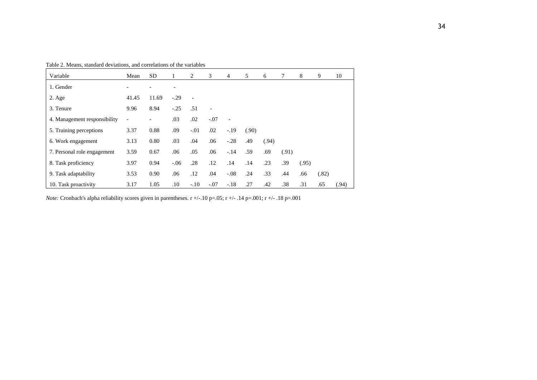| Table 2. Means, standard deviations, and correlations of the variables |  |  |
|------------------------------------------------------------------------|--|--|
|------------------------------------------------------------------------|--|--|

| Variable                     | Mean              | <b>SD</b> | 1      | 2              | 3      | 4                        | 5     | 6     | 7     | 8     | 9     | 10    |
|------------------------------|-------------------|-----------|--------|----------------|--------|--------------------------|-------|-------|-------|-------|-------|-------|
| 1. Gender                    |                   |           |        |                |        |                          |       |       |       |       |       |       |
| $2. \text{Age}$              | 41.45             | 11.69     | $-.29$ | $\overline{a}$ |        |                          |       |       |       |       |       |       |
| 3. Tenure                    | 9.96              | 8.94      | $-.25$ | .51            |        |                          |       |       |       |       |       |       |
| 4. Management responsibility | $\qquad \qquad -$ |           | .03    | .02            | $-.07$ | $\overline{\phantom{a}}$ |       |       |       |       |       |       |
| 5. Training perceptions      | 3.37              | 0.88      | .09    | $-.01$         | .02    | $-.19$                   | (.90) |       |       |       |       |       |
| 6. Work engagement           | 3.13              | 0.80      | .03    | .04            | .06    | $-.28$                   | .49   | (.94) |       |       |       |       |
| 7. Personal role engagement  | 3.59              | 0.67      | .06    | .05            | .06    | $-.14$                   | .59   | .69   | (.91) |       |       |       |
| 8. Task proficiency          | 3.97              | 0.94      | $-.06$ | .28            | .12    | .14                      | .14   | .23   | .39   | (.95) |       |       |
| 9. Task adaptability         | 3.53              | 0.90      | .06    | .12            | .04    | $-.08$                   | .24   | .33   | .44   | .66   | (.82) |       |
| 10. Task proactivity         | 3.17              | 1.05      | .10    | $-.10$         | $-.07$ | $-.18$                   | .27   | .42   | .38   | .31   | .65   | (.94) |

*Note:* Cronbach's alpha reliability scores given in parentheses. r +/-.10 p=.05; r +/- .14 p=.001; r +/- .18 p=.001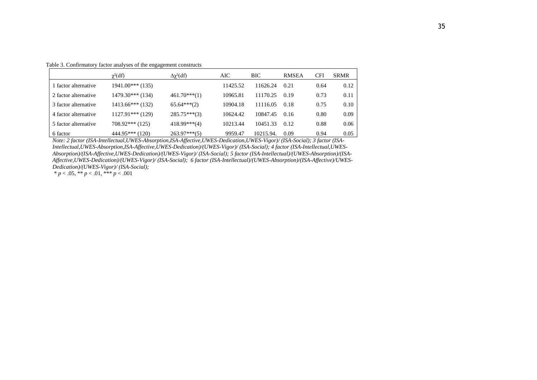Table 3. Confirmatory factor analyses of the engagement constructs

|                      | $\gamma^2(df)$     | $\Delta\chi^2(df)$ | AIC      | <b>BIC</b> | <b>RMSEA</b> | <b>CFI</b> | <b>SRMR</b> |
|----------------------|--------------------|--------------------|----------|------------|--------------|------------|-------------|
| 1 factor alternative | $1941.00***(135)$  |                    | 11425.52 | 11626.24   | 0.21         | 0.64       | 0.12        |
| 2 factor alternative | $1479.30***$ (134) | $461.70***(1)$     | 10965.81 | 11170.25   | 0.19         | 0.73       | 0.11        |
| 3 factor alternative | $1413.66***(132)$  | $65.64***(2)$      | 10904.18 | 11116.05   | 0.18         | 0.75       | 0.10        |
| 4 factor alternative | $1127.91***$ (129) | $285.75***(3)$     | 10624.42 | 10847.45   | 0.16         | 0.80       | 0.09        |
| 5 factor alternative | $708.92***(125)$   | $418.99***(4)$     | 10213.44 | 10451.33   | 0.12         | 0.88       | 0.06        |
| 6 factor             | $444.95***(120)$   | $263.97***(5)$     | 9959.47  | 10215.94.  | 0.09         | 0.94       | 0.05        |

*Note: 2 factor (ISA-Intellectual,UWES-Absorption,ISA-Affective,UWES-Dedication,UWES-Vigor)/ (ISA-Social); 3 factor (ISA-Intellectual,UWES-Absorption,ISA-Affective,UWES-Dedication)/(UWES-Vigor)/ (ISA-Social); 4 factor (ISA-Intellectual,UWES-Absorption)/(ISA-Affective,UWES-Dedication)/(UWES-Vigor)/ (ISA-Social); 5 factor (ISA-Intellectual)/(UWES-Absorption)/(ISA-Affective,UWES-Dedication)/(UWES-Vigor)/ (ISA-Social); 6 factor (ISA-Intellectual)/(UWES-Absorption)/(ISA-Affective)/UWES-Dedication)/(UWES-Vigor)/ (ISA-Social);* 

 $* p < .05, ** p < .01, ** p < .001$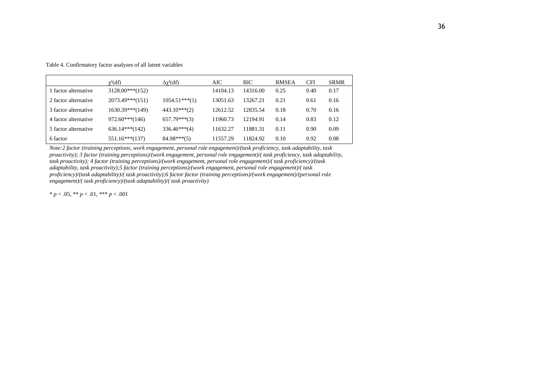|  |  |  |  |  |  |  |  | Table 4. Confirmatory factor analyses of all latent variables |
|--|--|--|--|--|--|--|--|---------------------------------------------------------------|
|--|--|--|--|--|--|--|--|---------------------------------------------------------------|

|                      | $\chi^2(df)$      | $\Delta \chi^2(df)$ | AIC      | <b>BIC</b> | <b>RMSEA</b> | <b>CFI</b> | <b>SRMR</b> |
|----------------------|-------------------|---------------------|----------|------------|--------------|------------|-------------|
| 1 factor alternative | $3128.00***(152)$ |                     | 14104.13 | 14316.00   | 0.25         | 0.40       | 0.17        |
| 2 factor alternative | $2073.49***(151)$ | $1054.51***(1)$     | 13051.63 | 13267.21   | 0.21         | 0.61       | 0.16        |
| 3 factor alternative | $1630.39***(149)$ | $443.10***(2)$      | 12612.52 | 12835.54   | 0.18         | 0.70       | 0.16        |
| 4 factor alternative | $972.60***$ (146) | $657.79***(3)$      | 11960.73 | 12194.91   | 0.14         | 0.83       | 0.12        |
| 5 factor alternative | $636.14***$ (142) | $336.46***(4)$      | 11632.27 | 11881.31   | 0.11         | 0.90       | 0.09        |
| 6 factor             | $551.16***$ (137) | $84.98***(5)$       | 11557.29 | 11824.92   | 0.10         | 0.92       | 0.08        |

*Note:2 factor (training perceptions, work engagement, personal role engagement)/(task proficiency, task adaptability, task proactivity); 3 factor (training perceptions)/(work engagement, personal role engagement)/( task proficiency, task adaptability, task proactivity); 4 factor (training perceptions)/(work engagement, personal role engagement)/( task proficiency)/(task adaptability, task proactivity);5 factor (training perceptions)/(work engagement, personal role engagement)/( task proficiency)/(task adaptability)/( task proactivity);6 factor factor (training perceptions)/(work engagement)/(personal role engagement)/( task proficiency)/(task adaptability)/( task proactivity)*

\* *p* < .05, \*\* *p* < .01, \*\*\* *p* < .001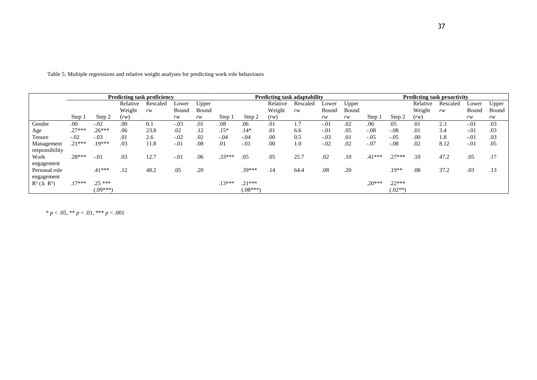|                          | Predicting task proficiency |            |          |          |        |       |          |            | Predicting task adaptability |          |        |       | Predicting task proactivity |           |          |          |        |       |
|--------------------------|-----------------------------|------------|----------|----------|--------|-------|----------|------------|------------------------------|----------|--------|-------|-----------------------------|-----------|----------|----------|--------|-------|
|                          |                             |            | Relative | Rescaled | Lower  | Upper |          |            | Relative                     | Rescaled | Lower  | Upper |                             |           | Relative | Rescaled | Lower  | Upper |
|                          |                             |            | Weight   | rw       | Bound  | Bound |          |            | Weight                       | rw       | Bound  | Bound |                             |           | Weight   | rw       | Bound  | Bound |
|                          | Step 1                      | Step 2     | (rw)     |          | rw     | rw    | Step 1   | Step 2     | (rw)                         |          | rw     | rw    | Step 1                      | Step 2    | (rw)     |          | rw     | rw    |
| Gender                   | .00                         | $-.02$     | .00      | 0.1      | $-.03$ | .01   | .08      | .06        | .01                          | 1.7      | $-.01$ | .02   | .06                         | .05       | .01      | 2.3      | $-.01$ | .03   |
| Age                      | $.27***$                    | $.26***$   | .06      | 23.8     | .02    | .12   | $.15*$   | $.14*$     | .01                          | 6.6      | $-.01$ | .05   | $-.08$                      | $-.08$    | .01      | 3.4      | $-.01$ | .03   |
| Tenure                   | $-.02$                      | $-.03$     | .01      | 2.6      | $-.02$ | .02   | $-.04$   | $-.04$     | .00                          | 0.5      | $-.03$ | .01   | $-.05$                      | $-.05$    | .00      | 1.8      | $-.01$ | .03   |
| Management               | $.21***$                    | .19***     | .03      | 11.8     | $-.01$ | .08   | .01      | $-.01$     | .00                          | 1.0      | $-.02$ | .02   | $-.07$                      | $-.08$    | .02      | 8.12     | $-.01$ | .05   |
| responsibility           |                             |            |          |          |        |       |          |            |                              |          |        |       |                             |           |          |          |        |       |
| Work                     | $.28***$                    | $-.01$     | .03      | 12.7     | $-.01$ | .06   | $.33***$ | .05        | .05                          | 25.7     | .02    | .10   | $.41***$                    | $.27***$  | .10      | 47.2     | .05    | .17   |
| engagement               |                             |            |          |          |        |       |          |            |                              |          |        |       |                             |           |          |          |        |       |
| Personal role            |                             | $.41***$   | .12      | 48.2     | .05    | .20   |          | $.39***$   | .14                          | 64.4     | .08    | .20   |                             | .19**     | .08      | 37.2     | .03    | .13   |
| engagement               |                             |            |          |          |        |       |          |            |                              |          |        |       |                             |           |          |          |        |       |
| $R^2$ ( $\Delta$ $R^2$ ) | $.17***$                    | $.25***$   |          |          |        |       | $.13***$ | $.21***$   |                              |          |        |       | $.20***$                    | $.22***$  |          |          |        |       |
|                          |                             | $(.09***)$ |          |          |        |       |          | $(.08***)$ |                              |          |        |       |                             | $(.02**)$ |          |          |        |       |

Table 5. Multiple regressions and relative weight analyses for predicting work role behaviours

\* *p* < .05, \*\* *p* < .01, \*\*\* *p* < .001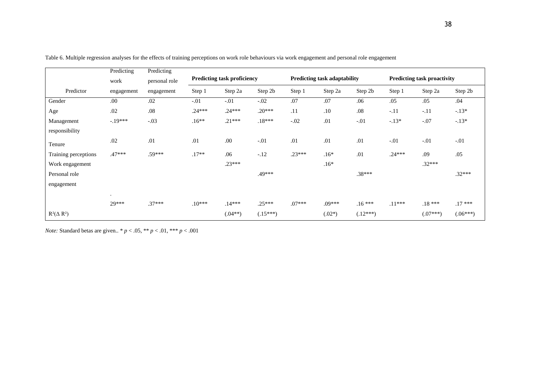|                      | Predicting | Predicting    |          |                                    |            |          |                                     |            |                                    |            |            |  |
|----------------------|------------|---------------|----------|------------------------------------|------------|----------|-------------------------------------|------------|------------------------------------|------------|------------|--|
|                      | work       | personal role |          | <b>Predicting task proficiency</b> |            |          | <b>Predicting task adaptability</b> |            | <b>Predicting task proactivity</b> |            |            |  |
| Predictor            | engagement | engagement    | Step 1   | Step 2a                            | Step 2b    | Step 1   | Step 2a                             | Step 2b    | Step 1                             | Step 2a    | Step 2b    |  |
| Gender               | .00        | .02           | $-.01$   | $-.01$                             | $-.02$     | .07      | .07                                 | .06        | .05                                | .05        | .04        |  |
| Age                  | .02        | $.08\,$       | $.24***$ | $.24***$                           | $.20***$   | .11      | $.10\,$                             | $.08\,$    | $-.11$                             | $-.11$     | $-.13*$    |  |
| Management           | $-.19***$  | $-.03$        | $.16**$  | $.21***$                           | $.18***$   | $-.02$   | .01                                 | $-.01$     | $-.13*$                            | $-.07$     | $-.13*$    |  |
| responsibility       |            |               |          |                                    |            |          |                                     |            |                                    |            |            |  |
| Tenure               | .02        | .01           | .01      | .00.                               | $-.01$     | .01      | .01                                 | .01        | $-.01$                             | $-.01$     | $-.01$     |  |
| Training perceptions | $.47***$   | .59***        | $.17**$  | .06                                | $-.12$     | $.23***$ | $.16*$                              | .01        | $.24***$                           | .09        | .05        |  |
| Work engagement      |            |               |          | $.23***$                           |            |          | $.16*$                              |            |                                    | $.32***$   |            |  |
| Personal role        |            |               |          |                                    | .49***     |          |                                     | .38***     |                                    |            | $.32***$   |  |
| engagement           |            |               |          |                                    |            |          |                                     |            |                                    |            |            |  |
|                      | $\bullet$  |               |          |                                    |            |          |                                     |            |                                    |            |            |  |
|                      | 29***      | $.37***$      | $.10***$ | $.14***$                           | $.25***$   | $.07***$ | .09***                              | $.16***$   | $.11***$                           | $.18***$   | $.17***$   |  |
| $R^2(\Delta R^2)$    |            |               |          | $(.04**)$                          | $(.15***)$ |          | $(.02*)$                            | $(.12***)$ |                                    | $(.07***)$ | $(.06***)$ |  |

Table 6. Multiple regression analyses for the effects of training perceptions on work role behaviours via work engagement and personal role engagement

*Note:* Standard betas are given.. \* *p* < .05, \*\* *p* < .01, \*\*\* *p* < .001